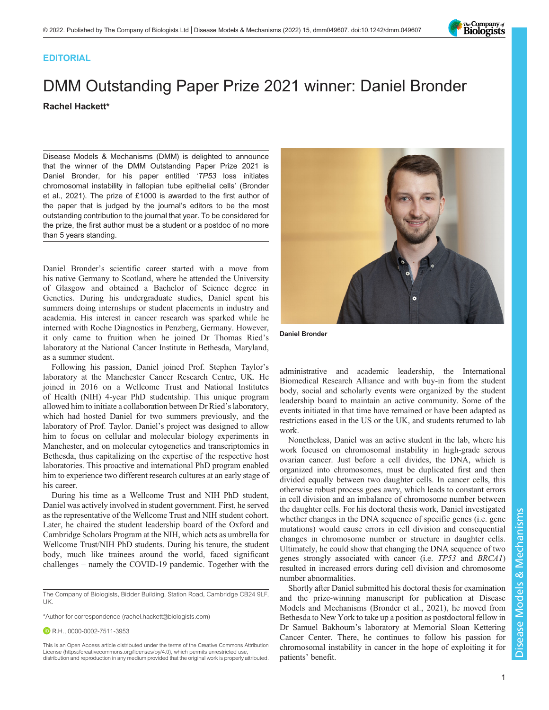

# **EDITORIAL**

# DMM Outstanding Paper Prize 2021 winner: Daniel Bronder Rachel Hackett\*

Disease Models & Mechanisms (DMM) is delighted to announce that the winner of the DMM Outstanding Paper Prize 2021 is Daniel Bronder, for his paper entitled 'TP53 loss initiates chromosomal instability in fallopian tube epithelial cells' [\(Bronder](#page-1-0) [et al., 2021](#page-1-0)). The prize of £1000 is awarded to the first author of the paper that is judged by the journal's editors to be the most outstanding contribution to the journal that year. To be considered for the prize, the first author must be a student or a postdoc of no more than 5 years standing.

Daniel Bronder's scientific career started with a move from his native Germany to Scotland, where he attended the University of Glasgow and obtained a Bachelor of Science degree in Genetics. During his undergraduate studies, Daniel spent his summers doing internships or student placements in industry and academia. His interest in cancer research was sparked while he interned with Roche Diagnostics in Penzberg, Germany. However, it only came to fruition when he joined Dr Thomas Ried's laboratory at the National Cancer Institute in Bethesda, Maryland, as a summer student.

Following his passion, Daniel joined Prof. Stephen Taylor's laboratory at the Manchester Cancer Research Centre, UK. He joined in 2016 on a Wellcome Trust and National Institutes of Health (NIH) 4-year PhD studentship. This unique program allowed him to initiate a collaboration between Dr Ried's laboratory, which had hosted Daniel for two summers previously, and the laboratory of Prof. Taylor. Daniel's project was designed to allow him to focus on cellular and molecular biology experiments in Manchester, and on molecular cytogenetics and transcriptomics in Bethesda, thus capitalizing on the expertise of the respective host laboratories. This proactive and international PhD program enabled him to experience two different research cultures at an early stage of his career.

During his time as a Wellcome Trust and NIH PhD student, Daniel was actively involved in student government. First, he served as the representative of the Wellcome Trust and NIH student cohort. Later, he chaired the student leadership board of the Oxford and Cambridge Scholars Program at the NIH, which acts as umbrella for Wellcome Trust/NIH PhD students. During his tenure, the student body, much like trainees around the world, faced significant challenges – namely the COVID-19 pandemic. Together with the

\*Author for correspondence [\(rachel.hackett@biologists.com](mailto:rachel.hackett@biologists.com))

**D** R.H., [0000-0002-7511-3953](http://orcid.org/0000-0002-7511-3953)



Daniel Bronder

administrative and academic leadership, the International Biomedical Research Alliance and with buy-in from the student body, social and scholarly events were organized by the student leadership board to maintain an active community. Some of the events initiated in that time have remained or have been adapted as restrictions eased in the US or the UK, and students returned to lab work.

Nonetheless, Daniel was an active student in the lab, where his work focused on chromosomal instability in high-grade serous ovarian cancer. Just before a cell divides, the DNA, which is organized into chromosomes, must be duplicated first and then divided equally between two daughter cells. In cancer cells, this otherwise robust process goes awry, which leads to constant errors in cell division and an imbalance of chromosome number between the daughter cells. For his doctoral thesis work, Daniel investigated whether changes in the DNA sequence of specific genes (i.e. gene mutations) would cause errors in cell division and consequential changes in chromosome number or structure in daughter cells. Ultimately, he could show that changing the DNA sequence of two genes strongly associated with cancer (i.e. TP53 and BRCA1) resulted in increased errors during cell division and chromosome number abnormalities.

Shortly after Daniel submitted his doctoral thesis for examination and the prize-winning manuscript for publication at Disease Models and Mechanisms ([Bronder et al., 2021\)](#page-1-0), he moved from Bethesda to New York to take up a position as postdoctoral fellow in Dr Samuel Bakhoum's laboratory at Memorial Sloan Kettering Cancer Center. There, he continues to follow his passion for chromosomal instability in cancer in the hope of exploiting it for patients' benefit.

The Company of Biologists, Bidder Building, Station Road, Cambridge CB24 9LF, UK.

This is an Open Access article distributed under the terms of the Creative Commons Attribution License (https://creativecommons.org/licenses/by/4.0), which permits unrestricted use, distribution and reproduction in any medium provided that the original work is properly attributed.